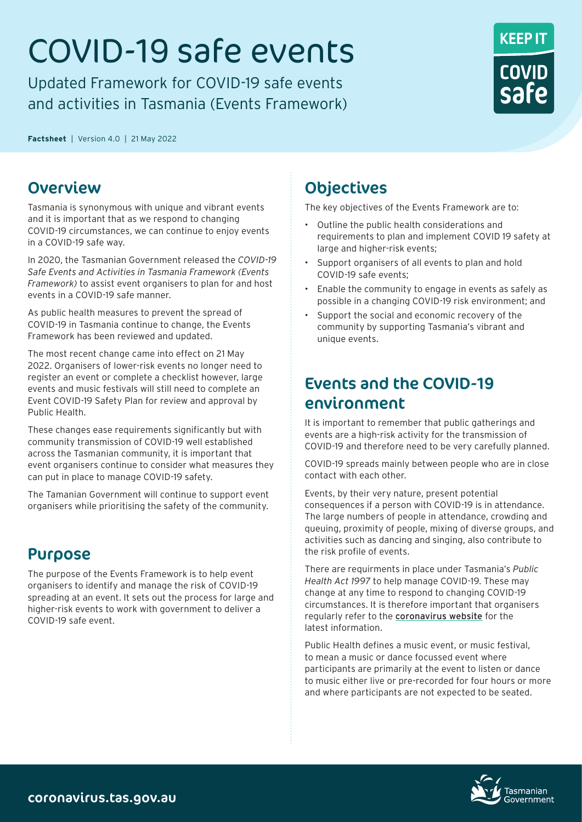# COVID-19 safe events

Updated Framework for COVID-19 safe events and activities in Tasmania (Events Framework)



**Factsheet**|Version 4.0|21 May 2022

## Overview

Tasmania is synonymous with unique and vibrant events and it is important that as we respond to changing COVID-19 circumstances, we can continue to enjoy events in a COVID-19 safe way.

In 2020, the Tasmanian Government released the *COVID-19 Safe Events and Activities in Tasmania Framework (Events Framework)* to assist event organisers to plan for and host events in a COVID-19 safe manner.

As public health measures to prevent the spread of COVID-19 in Tasmania continue to change, the Events Framework has been reviewed and updated.

The most recent change came into effect on 21 May 2022. Organisers of lower-risk events no longer need to register an event or complete a checklist however, large events and music festivals will still need to complete an Event COVID-19 Safety Plan for review and approval by Public Health.

These changes ease requirements significantly but with community transmission of COVID-19 well established across the Tasmanian community, it is important that event organisers continue to consider what measures they can put in place to manage COVID-19 safety.

The Tamanian Government will continue to support event organisers while prioritising the safety of the community.

## Purpose

The purpose of the Events Framework is to help event organisers to identify and manage the risk of COVID-19 spreading at an event. It sets out the process for large and higher-risk events to work with government to deliver a COVID-19 safe event.

# **Objectives**

The key objectives of the Events Framework are to:

- Outline the public health considerations and requirements to plan and implement COVID 19 safety at large and higher-risk events;
- Support organisers of all events to plan and hold COVID-19 safe events;
- Enable the community to engage in events as safely as possible in a changing COVID-19 risk environment; and
- Support the social and economic recovery of the community by supporting Tasmania's vibrant and unique events.

# Events and the COVID-19 environment

It is important to remember that public gatherings and events are a high-risk activity for the transmission of COVID-19 and therefore need to be very carefully planned.

COVID-19 spreads mainly between people who are in close contact with each other.

Events, by their very nature, present potential consequences if a person with COVID-19 is in attendance. The large numbers of people in attendance, crowding and queuing, proximity of people, mixing of diverse groups, and activities such as dancing and singing, also contribute to the risk profile of events.

There are requirments in place under Tasmania's *Public Health Act 1997* to help manage COVID-19. These may change at any time to respond to changing COVID-19 circumstances. It is therefore important that organisers regularly refer to the [coronavirus website](https://coronavirus.tas.gov.au) for the latest information.

Public Health defines a music event, or music festival, to mean a music or dance focussed event where participants are primarily at the event to listen or dance to music either live or pre-recorded for four hours or more and where participants are not expected to be seated.

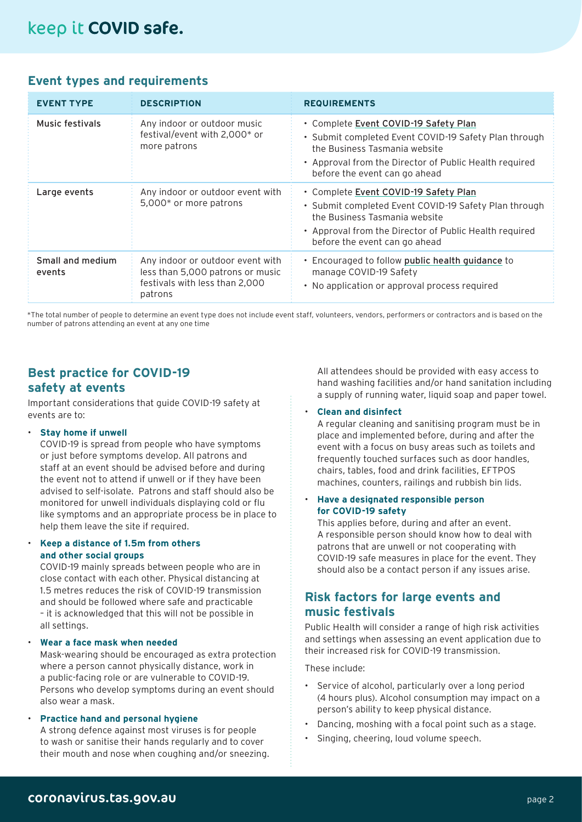## **Event types and requirements**

| <b>EVENT TYPE</b>          | <b>DESCRIPTION</b>                                                                                                | <b>REQUIREMENTS</b>                                                                                                                                                                                                        |
|----------------------------|-------------------------------------------------------------------------------------------------------------------|----------------------------------------------------------------------------------------------------------------------------------------------------------------------------------------------------------------------------|
| Music festivals            | Any indoor or outdoor music<br>festival/event with 2,000* or<br>more patrons                                      | • Complete Event COVID-19 Safety Plan<br>• Submit completed Event COVID-19 Safety Plan through<br>the Business Tasmania website<br>• Approval from the Director of Public Health required<br>before the event can go ahead |
| Large events               | Any indoor or outdoor event with<br>5,000* or more patrons                                                        | · Complete Event COVID-19 Safety Plan<br>· Submit completed Event COVID-19 Safety Plan through<br>the Business Tasmania website<br>• Approval from the Director of Public Health required<br>before the event can go ahead |
| Small and medium<br>events | Any indoor or outdoor event with<br>less than 5,000 patrons or music<br>festivals with less than 2,000<br>patrons | • Encouraged to follow public health guidance to<br>manage COVID-19 Safety<br>• No application or approval process required                                                                                                |

\*The total number of people to determine an event type does not include event staff, volunteers, vendors, performers or contractors and is based on the number of patrons attending an event at any one time

#### **Best practice for COVID-19 safety at events**

Important considerations that guide COVID-19 safety at events are to:

#### • **Stay home if unwell**

COVID-19 is spread from people who have symptoms or just before symptoms develop. All patrons and staff at an event should be advised before and during the event not to attend if unwell or if they have been advised to self-isolate. Patrons and staff should also be monitored for unwell individuals displaying cold or flu like symptoms and an appropriate process be in place to help them leave the site if required.

#### • **Keep a distance of 1.5m from others and other social groups**

COVID-19 mainly spreads between people who are in close contact with each other. Physical distancing at 1.5 metres reduces the risk of COVID-19 transmission and should be followed where safe and practicable – it is acknowledged that this will not be possible in all settings.

• **Wear a face mask when needed**

Mask-wearing should be encouraged as extra protection where a person cannot physically distance, work in a public-facing role or are vulnerable to COVID-19. Persons who develop symptoms during an event should also wear a mask.

#### • **Practice hand and personal hygiene** A strong defence against most viruses is for people to wash or sanitise their hands regularly and to cover their mouth and nose when coughing and/or sneezing.

All attendees should be provided with easy access to hand washing facilities and/or hand sanitation including a supply of running water, liquid soap and paper towel.

#### • **Clean and disinfect**

A regular cleaning and sanitising program must be in place and implemented before, during and after the event with a focus on busy areas such as toilets and frequently touched surfaces such as door handles, chairs, tables, food and drink facilities, EFTPOS machines, counters, railings and rubbish bin lids.

#### • **Have a designated responsible person for COVID-19 safety**

This applies before, during and after an event. A responsible person should know how to deal with patrons that are unwell or not cooperating with COVID-19 safe measures in place for the event. They should also be a contact person if any issues arise.

## **Risk factors for large events and music festivals**

Public Health will consider a range of high risk activities and settings when assessing an event application due to their increased risk for COVID-19 transmission.

These include:

- Service of alcohol, particularly over a long period (4 hours plus). Alcohol consumption may impact on a person's ability to keep physical distance.
- Dancing, moshing with a focal point such as a stage.
- Singing, cheering, loud volume speech.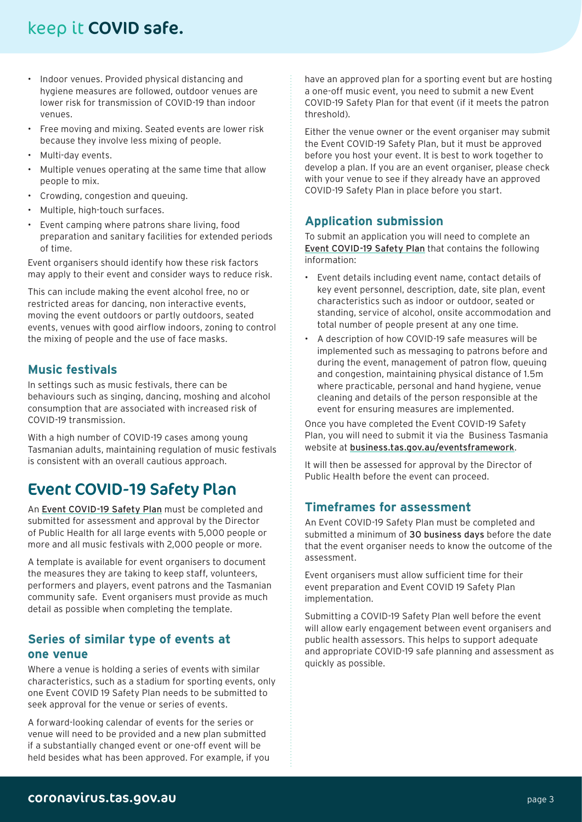# keep it COVID safe.

- Indoor venues. Provided physical distancing and hygiene measures are followed, outdoor venues are lower risk for transmission of COVID-19 than indoor venues.
- Free moving and mixing. Seated events are lower risk because they involve less mixing of people.
- Multi-day events.
- Multiple venues operating at the same time that allow people to mix.
- Crowding, congestion and queuing.
- Multiple, high-touch surfaces.
- Event camping where patrons share living, food preparation and sanitary facilities for extended periods of time.

Event organisers should identify how these risk factors may apply to their event and consider ways to reduce risk.

This can include making the event alcohol free, no or restricted areas for dancing, non interactive events, moving the event outdoors or partly outdoors, seated events, venues with good airflow indoors, zoning to control the mixing of people and the use of face masks.

## **Music festivals**

In settings such as music festivals, there can be behaviours such as singing, dancing, moshing and alcohol consumption that are associated with increased risk of COVID-19 transmission.

With a high number of COVID-19 cases among young Tasmanian adults, maintaining regulation of music festivals is consistent with an overall cautious approach.

## Event COVID-19 Safety Plan

An [Event COVID-19 Safety Plan](https://www.business.tas.gov.au/coronavirus_information/event_framework) must be completed and submitted for assessment and approval by the Director of Public Health for all large events with 5,000 people or more and all music festivals with 2,000 people or more.

A template is available for event organisers to document the measures they are taking to keep staff, volunteers, performers and players, event patrons and the Tasmanian community safe. Event organisers must provide as much detail as possible when completing the template.

## **Series of similar type of events at one venue**

Where a venue is holding a series of events with similar characteristics, such as a stadium for sporting events, only one Event COVID 19 Safety Plan needs to be submitted to seek approval for the venue or series of events.

A forward-looking calendar of events for the series or venue will need to be provided and a new plan submitted if a substantially changed event or one-off event will be held besides what has been approved. For example, if you have an approved plan for a sporting event but are hosting a one-off music event, you need to submit a new Event COVID-19 Safety Plan for that event (if it meets the patron threshold).

Either the venue owner or the event organiser may submit the Event COVID-19 Safety Plan, but it must be approved before you host your event. It is best to work together to develop a plan. If you are an event organiser, please check with your venue to see if they already have an approved COVID-19 Safety Plan in place before you start.

## **Application submission**

To submit an application you will need to complete an [Event COVID-19 Safety Plan](https://www.business.tas.gov.au/coronavirus_information/event_framework) that contains the following information:

- Event details including event name, contact details of key event personnel, description, date, site plan, event characteristics such as indoor or outdoor, seated or standing, service of alcohol, onsite accommodation and total number of people present at any one time.
- A description of how COVID-19 safe measures will be implemented such as messaging to patrons before and during the event, management of patron flow, queuing and congestion, maintaining physical distance of 1.5m where practicable, personal and hand hygiene, venue cleaning and details of the person responsible at the event for ensuring measures are implemented.

Once you have completed the Event COVID-19 Safety Plan, you will need to submit it via the Business Tasmania website at [business.tas.gov.au/eventsframework](https://www.business.tas.gov.au/coronavirus_information/event_framework).

It will then be assessed for approval by the Director of Public Health before the event can proceed.

## **Timeframes for assessment**

An Event COVID-19 Safety Plan must be completed and submitted a minimum of 30 business days before the date that the event organiser needs to know the outcome of the assessment.

Event organisers must allow sufficient time for their event preparation and Event COVID 19 Safety Plan implementation.

Submitting a COVID-19 Safety Plan well before the event will allow early engagement between event organisers and public health assessors. This helps to support adequate and appropriate COVID-19 safe planning and assessment as quickly as possible.